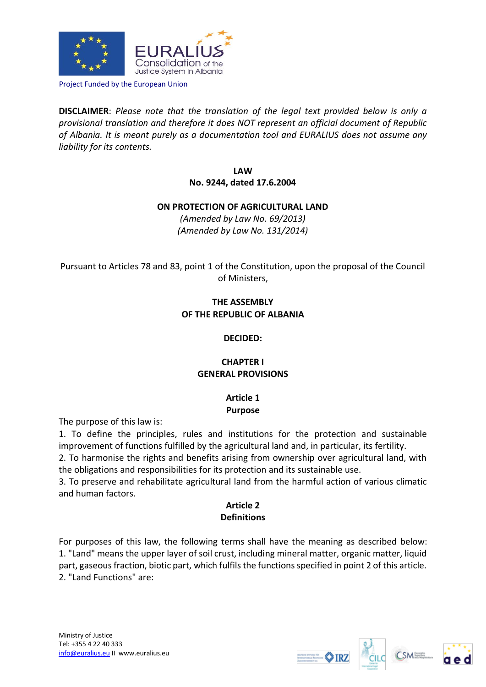

Project Funded by the European Union

**DISCLAIMER**: *Please note that the translation of the legal text provided below is only a provisional translation and therefore it does NOT represent an official document of Republic of Albania. It is meant purely as a documentation tool and EURALIUS does not assume any liability for its contents.*

> **LAW No. 9244, dated 17.6.2004**

### **ON PROTECTION OF AGRICULTURAL LAND**

*(Amended by Law No. 69/2013) (Amended by Law No. 131/2014)* 

Pursuant to Articles 78 and 83, point 1 of the Constitution, upon the proposal of the Council of Ministers,

# **THE ASSEMBLY OF THE REPUBLIC OF ALBANIA**

### **DECIDED:**

# **CHAPTER I GENERAL PROVISIONS**

# **Article 1 Purpose**

The purpose of this law is:

1. To define the principles, rules and institutions for the protection and sustainable improvement of functions fulfilled by the agricultural land and, in particular, its fertility.

2. To harmonise the rights and benefits arising from ownership over agricultural land, with the obligations and responsibilities for its protection and its sustainable use.

3. To preserve and rehabilitate agricultural land from the harmful action of various climatic and human factors.

# **Article 2 Definitions**

For purposes of this law, the following terms shall have the meaning as described below: 1. "Land" means the upper layer of soil crust, including mineral matter, organic matter, liquid part, gaseous fraction, biotic part, which fulfils the functions specified in point 2 of this article. 2. "Land Functions" are:





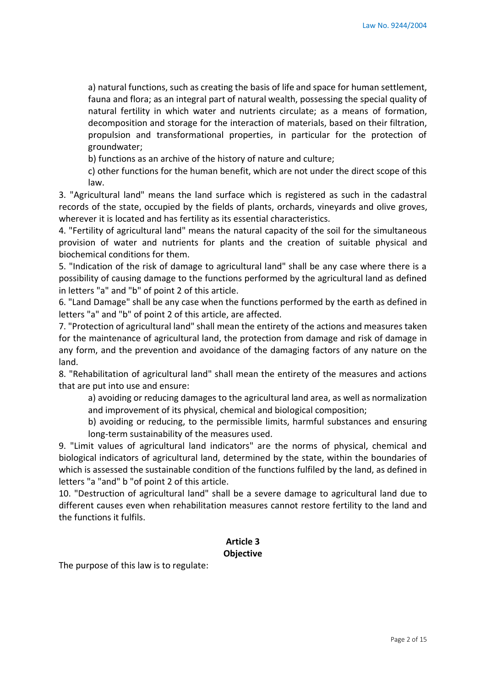a) natural functions, such as creating the basis of life and space for human settlement, fauna and flora; as an integral part of natural wealth, possessing the special quality of natural fertility in which water and nutrients circulate; as a means of formation, decomposition and storage for the interaction of materials, based on their filtration, propulsion and transformational properties, in particular for the protection of groundwater;

b) functions as an archive of the history of nature and culture;

c) other functions for the human benefit, which are not under the direct scope of this law.

3. "Agricultural land" means the land surface which is registered as such in the cadastral records of the state, occupied by the fields of plants, orchards, vineyards and olive groves, wherever it is located and has fertility as its essential characteristics.

4. "Fertility of agricultural land" means the natural capacity of the soil for the simultaneous provision of water and nutrients for plants and the creation of suitable physical and biochemical conditions for them.

5. "Indication of the risk of damage to agricultural land" shall be any case where there is a possibility of causing damage to the functions performed by the agricultural land as defined in letters "a" and "b" of point 2 of this article.

6. "Land Damage" shall be any case when the functions performed by the earth as defined in letters "a" and "b" of point 2 of this article, are affected.

7. "Protection of agricultural land" shall mean the entirety of the actions and measures taken for the maintenance of agricultural land, the protection from damage and risk of damage in any form, and the prevention and avoidance of the damaging factors of any nature on the land.

8. "Rehabilitation of agricultural land" shall mean the entirety of the measures and actions that are put into use and ensure:

a) avoiding or reducing damages to the agricultural land area, as well as normalization and improvement of its physical, chemical and biological composition;

b) avoiding or reducing, to the permissible limits, harmful substances and ensuring long-term sustainability of the measures used.

9. "Limit values of agricultural land indicators" are the norms of physical, chemical and biological indicators of agricultural land, determined by the state, within the boundaries of which is assessed the sustainable condition of the functions fulfiled by the land, as defined in letters "a "and" b "of point 2 of this article.

10. "Destruction of agricultural land" shall be a severe damage to agricultural land due to different causes even when rehabilitation measures cannot restore fertility to the land and the functions it fulfils.

#### **Article 3 Objective**

The purpose of this law is to regulate: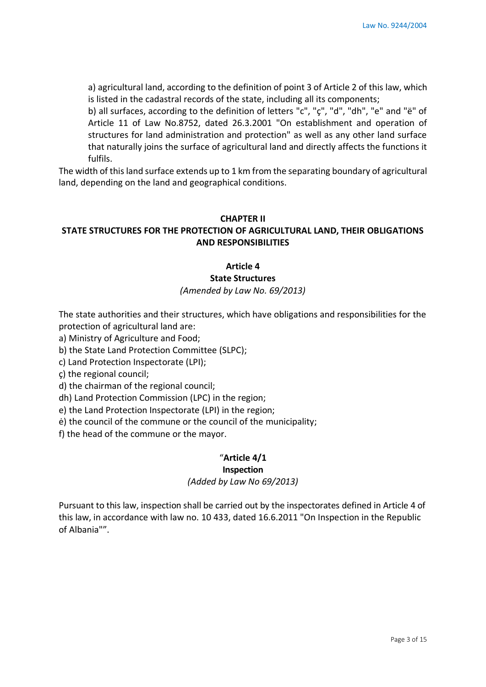a) agricultural land, according to the definition of point 3 of Article 2 of this law, which is listed in the cadastral records of the state, including all its components;

b) all surfaces, according to the definition of letters "c", "ç", "d", "dh", "e" and "ë" of Article 11 of Law No.8752, dated 26.3.2001 "On establishment and operation of structures for land administration and protection" as well as any other land surface that naturally joins the surface of agricultural land and directly affects the functions it fulfils.

The width of this land surface extends up to 1 km from the separating boundary of agricultural land, depending on the land and geographical conditions.

#### **CHAPTER II**

# **STATE STRUCTURES FOR THE PROTECTION OF AGRICULTURAL LAND, THEIR OBLIGATIONS AND RESPONSIBILITIES**

#### **Article 4**

### **State Structures**

*(Amended by Law No. 69/2013)* 

The state authorities and their structures, which have obligations and responsibilities for the protection of agricultural land are:

a) Ministry of Agriculture and Food;

b) the State Land Protection Committee (SLPC);

c) Land Protection Inspectorate (LPI);

ç) the regional council;

d) the chairman of the regional council;

dh) Land Protection Commission (LPC) in the region;

e) the Land Protection Inspectorate (LPI) in the region;

ė) the council of the commune or the council of the municipality;

f) the head of the commune or the mayor.

### "**Article 4/1**

### **Inspection**

*(Added by Law No 69/2013)* 

Pursuant to this law, inspection shall be carried out by the inspectorates defined in Article 4 of this law, in accordance with law no. 10 433, dated 16.6.2011 "On Inspection in the Republic of Albania"".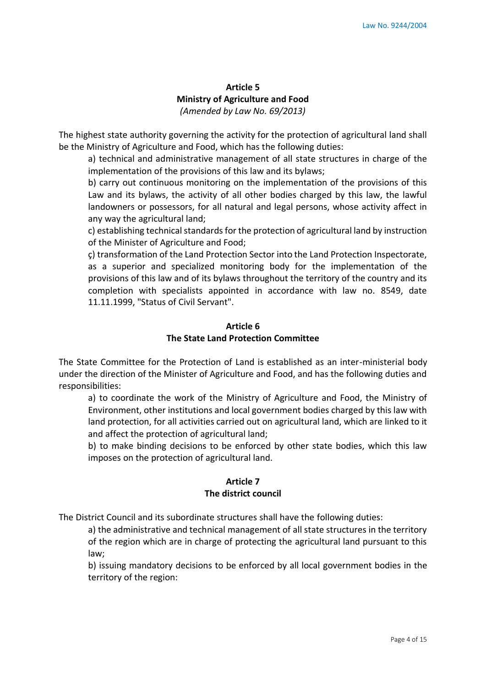# **Article 5 Ministry of Agriculture and Food** *(Amended by Law No. 69/2013)*

The highest state authority governing the activity for the protection of agricultural land shall be the Ministry of Agriculture and Food, which has the following duties:

a) technical and administrative management of all state structures in charge of the implementation of the provisions of this law and its bylaws;

b) carry out continuous monitoring on the implementation of the provisions of this Law and its bylaws, the activity of all other bodies charged by this law, the lawful landowners or possessors, for all natural and legal persons, whose activity affect in any way the agricultural land;

c) establishing technical standards for the protection of agricultural land by instruction of the Minister of Agriculture and Food;

ç) transformation of the Land Protection Sector into the Land Protection Inspectorate, as a superior and specialized monitoring body for the implementation of the provisions of this law and of its bylaws throughout the territory of the country and its completion with specialists appointed in accordance with law no. 8549, date 11.11.1999, "Status of Civil Servant".

#### **Article 6 The State Land Protection Committee**

The State Committee for the Protection of Land is established as an inter-ministerial body under the direction of the Minister of Agriculture and Food, and has the following duties and responsibilities:

a) to coordinate the work of the Ministry of Agriculture and Food, the Ministry of Environment, other institutions and local government bodies charged by this law with land protection, for all activities carried out on agricultural land, which are linked to it and affect the protection of agricultural land;

b) to make binding decisions to be enforced by other state bodies, which this law imposes on the protection of agricultural land.

# **Article 7 The district council**

The District Council and its subordinate structures shall have the following duties:

a) the administrative and technical management of all state structures in the territory of the region which are in charge of protecting the agricultural land pursuant to this law;

b) issuing mandatory decisions to be enforced by all local government bodies in the territory of the region: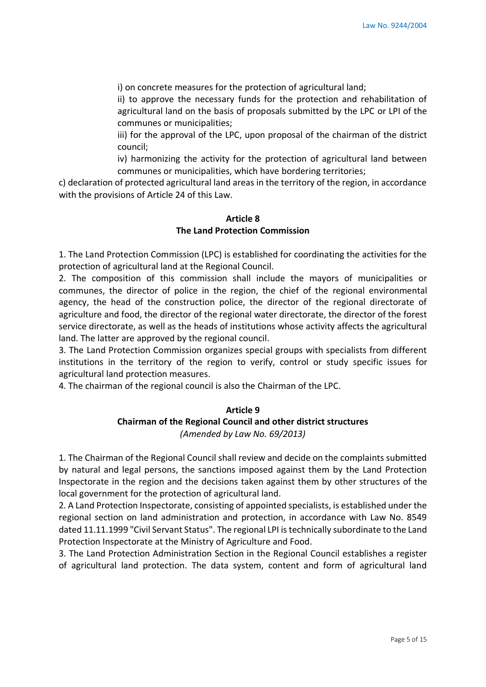i) on concrete measures for the protection of agricultural land;

ii) to approve the necessary funds for the protection and rehabilitation of agricultural land on the basis of proposals submitted by the LPC or LPI of the communes or municipalities;

iii) for the approval of the LPC, upon proposal of the chairman of the district council;

iv) harmonizing the activity for the protection of agricultural land between communes or municipalities, which have bordering territories;

c) declaration of protected agricultural land areas in the territory of the region, in accordance with the provisions of Article 24 of this Law.

#### **Article 8 The Land Protection Commission**

1. The Land Protection Commission (LPC) is established for coordinating the activities for the protection of agricultural land at the Regional Council.

2. The composition of this commission shall include the mayors of municipalities or communes, the director of police in the region, the chief of the regional environmental agency, the head of the construction police, the director of the regional directorate of agriculture and food, the director of the regional water directorate, the director of the forest service directorate, as well as the heads of institutions whose activity affects the agricultural land. The latter are approved by the regional council.

3. The Land Protection Commission organizes special groups with specialists from different institutions in the territory of the region to verify, control or study specific issues for agricultural land protection measures.

4. The chairman of the regional council is also the Chairman of the LPC.

## **Article 9 Chairman of the Regional Council and other district structures** *(Amended by Law No. 69/2013)*

1. The Chairman of the Regional Council shall review and decide on the complaints submitted by natural and legal persons, the sanctions imposed against them by the Land Protection Inspectorate in the region and the decisions taken against them by other structures of the local government for the protection of agricultural land.

2. A Land Protection Inspectorate, consisting of appointed specialists, is established under the regional section on land administration and protection, in accordance with Law No. 8549 dated 11.11.1999 "Civil Servant Status". The regional LPI is technically subordinate to the Land Protection Inspectorate at the Ministry of Agriculture and Food.

3. The Land Protection Administration Section in the Regional Council establishes a register of agricultural land protection. The data system, content and form of agricultural land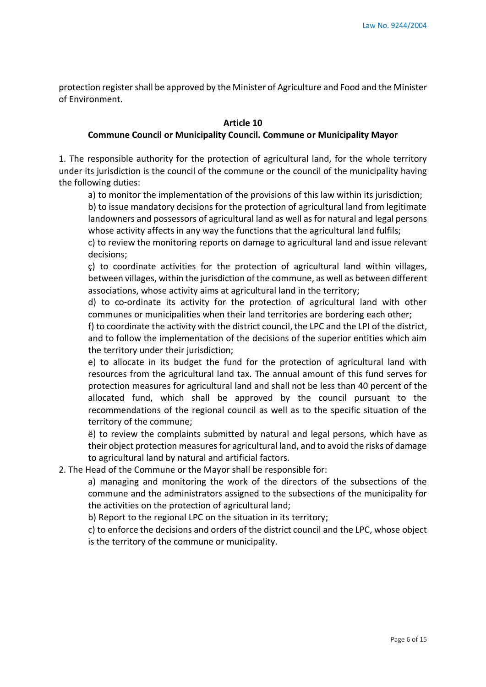protection register shall be approved by the Minister of Agriculture and Food and the Minister of Environment.

#### **Article 10**

#### **Commune Council or Municipality Council. Commune or Municipality Mayor**

1. The responsible authority for the protection of agricultural land, for the whole territory under its jurisdiction is the council of the commune or the council of the municipality having the following duties:

a) to monitor the implementation of the provisions of this law within its jurisdiction;

b) to issue mandatory decisions for the protection of agricultural land from legitimate landowners and possessors of agricultural land as well as for natural and legal persons whose activity affects in any way the functions that the agricultural land fulfils;

c) to review the monitoring reports on damage to agricultural land and issue relevant decisions;

ç) to coordinate activities for the protection of agricultural land within villages, between villages, within the jurisdiction of the commune, as well as between different associations, whose activity aims at agricultural land in the territory;

d) to co-ordinate its activity for the protection of agricultural land with other communes or municipalities when their land territories are bordering each other;

f) to coordinate the activity with the district council, the LPC and the LPI of the district, and to follow the implementation of the decisions of the superior entities which aim the territory under their jurisdiction;

e) to allocate in its budget the fund for the protection of agricultural land with resources from the agricultural land tax. The annual amount of this fund serves for protection measures for agricultural land and shall not be less than 40 percent of the allocated fund, which shall be approved by the council pursuant to the recommendations of the regional council as well as to the specific situation of the territory of the commune;

ë) to review the complaints submitted by natural and legal persons, which have as their object protection measures for agricultural land, and to avoid the risks of damage to agricultural land by natural and artificial factors.

2. The Head of the Commune or the Mayor shall be responsible for:

a) managing and monitoring the work of the directors of the subsections of the commune and the administrators assigned to the subsections of the municipality for the activities on the protection of agricultural land;

b) Report to the regional LPC on the situation in its territory;

c) to enforce the decisions and orders of the district council and the LPC, whose object is the territory of the commune or municipality.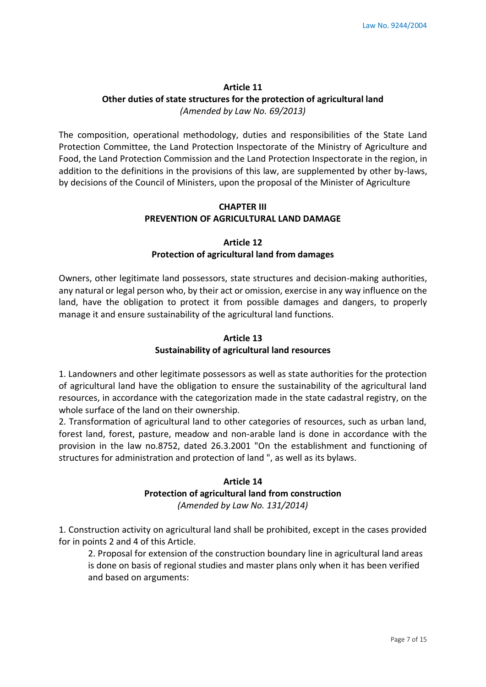# **Article 11 Other duties of state structures for the protection of agricultural land** *(Amended by Law No. 69/2013)*

The composition, operational methodology, duties and responsibilities of the State Land Protection Committee, the Land Protection Inspectorate of the Ministry of Agriculture and Food, the Land Protection Commission and the Land Protection Inspectorate in the region, in addition to the definitions in the provisions of this law, are supplemented by other by-laws, by decisions of the Council of Ministers, upon the proposal of the Minister of Agriculture

### **CHAPTER III PREVENTION OF AGRICULTURAL LAND DAMAGE**

## **Article 12 Protection of agricultural land from damages**

Owners, other legitimate land possessors, state structures and decision-making authorities, any natural or legal person who, by their act or omission, exercise in any way influence on the land, have the obligation to protect it from possible damages and dangers, to properly manage it and ensure sustainability of the agricultural land functions.

# **Article 13 Sustainability of agricultural land resources**

1. Landowners and other legitimate possessors as well as state authorities for the protection of agricultural land have the obligation to ensure the sustainability of the agricultural land resources, in accordance with the categorization made in the state cadastral registry, on the whole surface of the land on their ownership.

2. Transformation of agricultural land to other categories of resources, such as urban land, forest land, forest, pasture, meadow and non-arable land is done in accordance with the provision in the law no.8752, dated 26.3.2001 "On the establishment and functioning of structures for administration and protection of land ", as well as its bylaws.

### **Article 14**

# **Protection of agricultural land from construction**

*(Amended by Law No. 131/2014)* 

1. Construction activity on agricultural land shall be prohibited, except in the cases provided for in points 2 and 4 of this Article.

2. Proposal for extension of the construction boundary line in agricultural land areas is done on basis of regional studies and master plans only when it has been verified and based on arguments: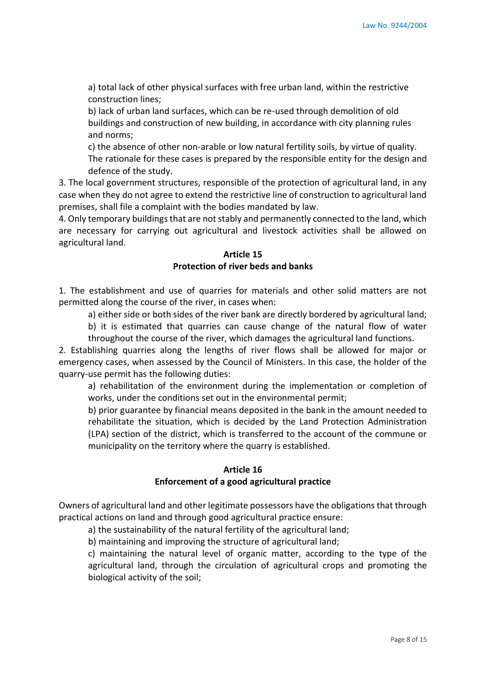a) total lack of other physical surfaces with free urban land, within the restrictive construction lines;

b) lack of urban land surfaces, which can be re-used through demolition of old buildings and construction of new building, in accordance with city planning rules and norms;

c) the absence of other non-arable or low natural fertility soils, by virtue of quality. The rationale for these cases is prepared by the responsible entity for the design and defence of the study.

3. The local government structures, responsible of the protection of agricultural land, in any case when they do not agree to extend the restrictive line of construction to agricultural land premises, shall file a complaint with the bodies mandated by law.

4. Only temporary buildings that are not stably and permanently connected to the land, which are necessary for carrying out agricultural and livestock activities shall be allowed on agricultural land.

# **Article 15 Protection of river beds and banks**

1. The establishment and use of quarries for materials and other solid matters are not permitted along the course of the river, in cases when:

a) either side or both sides of the river bank are directly bordered by agricultural land;

b) it is estimated that quarries can cause change of the natural flow of water throughout the course of the river, which damages the agricultural land functions.

2. Establishing quarries along the lengths of river flows shall be allowed for major or emergency cases, when assessed by the Council of Ministers. In this case, the holder of the quarry-use permit has the following duties:

a) rehabilitation of the environment during the implementation or completion of works, under the conditions set out in the environmental permit;

b) prior guarantee by financial means deposited in the bank in the amount needed to rehabilitate the situation, which is decided by the Land Protection Administration (LPA) section of the district, which is transferred to the account of the commune or municipality on the territory where the quarry is established.

# **Article 16 Enforcement of a good agricultural practice**

Owners of agricultural land and other legitimate possessors have the obligations that through practical actions on land and through good agricultural practice ensure:

a) the sustainability of the natural fertility of the agricultural land;

b) maintaining and improving the structure of agricultural land;

c) maintaining the natural level of organic matter, according to the type of the agricultural land, through the circulation of agricultural crops and promoting the biological activity of the soil;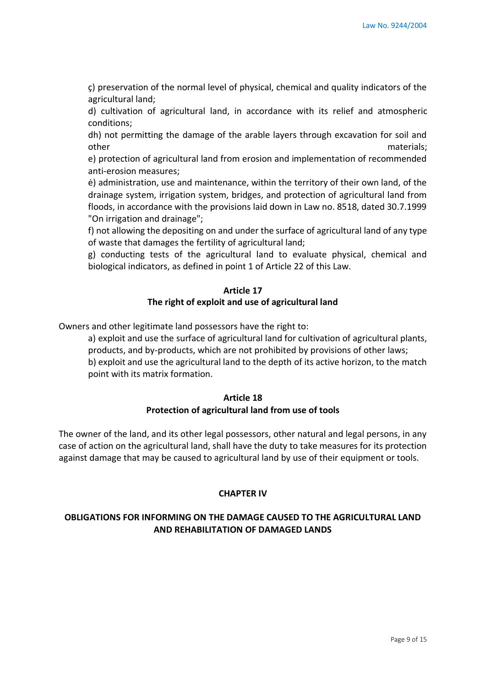ç) preservation of the normal level of physical, chemical and quality indicators of the agricultural land;

d) cultivation of agricultural land, in accordance with its relief and atmospheric conditions;

dh) not permitting the damage of the arable layers through excavation for soil and other materials;

e) protection of agricultural land from erosion and implementation of recommended anti-erosion measures;

ė) administration, use and maintenance, within the territory of their own land, of the drainage system, irrigation system, bridges, and protection of agricultural land from floods, in accordance with the provisions laid down in Law no. 8518, dated 30.7.1999 "On irrigation and drainage";

f) not allowing the depositing on and under the surface of agricultural land of any type of waste that damages the fertility of agricultural land;

g) conducting tests of the agricultural land to evaluate physical, chemical and biological indicators, as defined in point 1 of Article 22 of this Law.

## **Article 17 The right of exploit and use of agricultural land**

Owners and other legitimate land possessors have the right to:

a) exploit and use the surface of agricultural land for cultivation of agricultural plants, products, and by-products, which are not prohibited by provisions of other laws; b) exploit and use the agricultural land to the depth of its active horizon, to the match point with its matrix formation.

### **Article 18 Protection of agricultural land from use of tools**

The owner of the land, and its other legal possessors, other natural and legal persons, in any case of action on the agricultural land, shall have the duty to take measures for its protection against damage that may be caused to agricultural land by use of their equipment or tools.

### **CHAPTER IV**

# **OBLIGATIONS FOR INFORMING ON THE DAMAGE CAUSED TO THE AGRICULTURAL LAND AND REHABILITATION OF DAMAGED LANDS**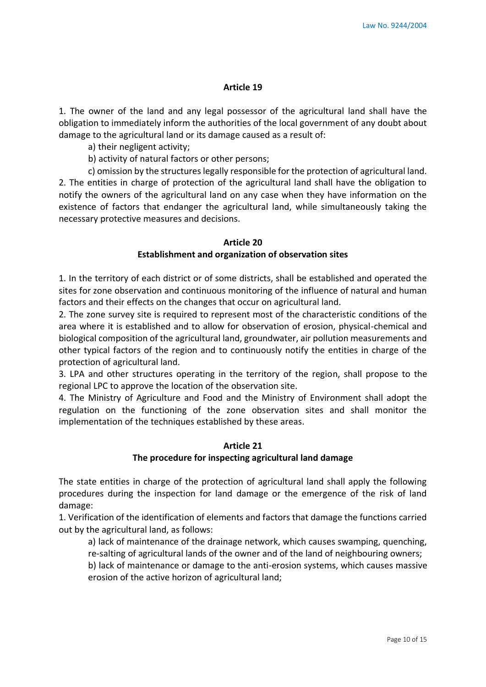#### **Article 19**

1. The owner of the land and any legal possessor of the agricultural land shall have the obligation to immediately inform the authorities of the local government of any doubt about damage to the agricultural land or its damage caused as a result of:

a) their negligent activity;

b) activity of natural factors or other persons;

c) omission by the structures legally responsible for the protection of agricultural land. 2. The entities in charge of protection of the agricultural land shall have the obligation to notify the owners of the agricultural land on any case when they have information on the existence of factors that endanger the agricultural land, while simultaneously taking the necessary protective measures and decisions.

#### **Article 20 Establishment and organization of observation sites**

1. In the territory of each district or of some districts, shall be established and operated the sites for zone observation and continuous monitoring of the influence of natural and human factors and their effects on the changes that occur on agricultural land.

2. The zone survey site is required to represent most of the characteristic conditions of the area where it is established and to allow for observation of erosion, physical-chemical and biological composition of the agricultural land, groundwater, air pollution measurements and other typical factors of the region and to continuously notify the entities in charge of the protection of agricultural land.

3. LPA and other structures operating in the territory of the region, shall propose to the regional LPC to approve the location of the observation site.

4. The Ministry of Agriculture and Food and the Ministry of Environment shall adopt the regulation on the functioning of the zone observation sites and shall monitor the implementation of the techniques established by these areas.

#### **Article 21 The procedure for inspecting agricultural land damage**

The state entities in charge of the protection of agricultural land shall apply the following procedures during the inspection for land damage or the emergence of the risk of land damage:

1. Verification of the identification of elements and factors that damage the functions carried out by the agricultural land, as follows:

a) lack of maintenance of the drainage network, which causes swamping, quenching, re-salting of agricultural lands of the owner and of the land of neighbouring owners;

b) lack of maintenance or damage to the anti-erosion systems, which causes massive erosion of the active horizon of agricultural land;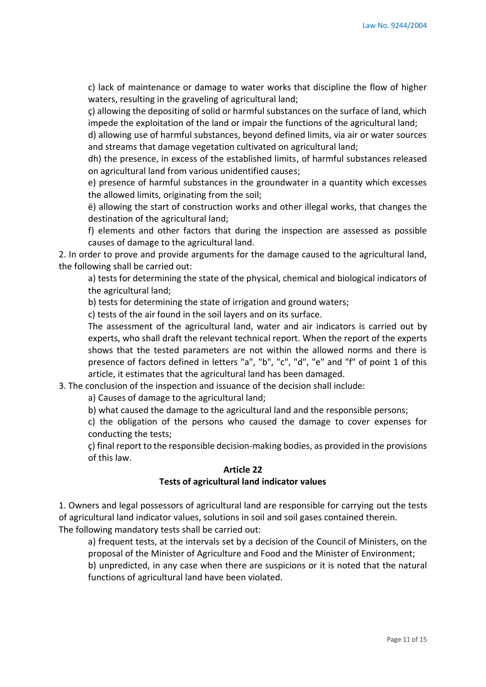c) lack of maintenance or damage to water works that discipline the flow of higher waters, resulting in the graveling of agricultural land;

ç) allowing the depositing of solid or harmful substances on the surface of land, which impede the exploitation of the land or impair the functions of the agricultural land;

d) allowing use of harmful substances, beyond defined limits, via air or water sources and streams that damage vegetation cultivated on agricultural land;

dh) the presence, in excess of the established limits, of harmful substances released on agricultural land from various unidentified causes;

e) presence of harmful substances in the groundwater in a quantity which excesses the allowed limits, originating from the soil;

ë) allowing the start of construction works and other illegal works, that changes the destination of the agricultural land;

f) elements and other factors that during the inspection are assessed as possible causes of damage to the agricultural land.

2. In order to prove and provide arguments for the damage caused to the agricultural land, the following shall be carried out:

a) tests for determining the state of the physical, chemical and biological indicators of the agricultural land;

b) tests for determining the state of irrigation and ground waters;

c) tests of the air found in the soil layers and on its surface.

The assessment of the agricultural land, water and air indicators is carried out by experts, who shall draft the relevant technical report. When the report of the experts shows that the tested parameters are not within the allowed norms and there is presence of factors defined in letters "a", "b", "c", "d", "e" and "f" of point 1 of this article, it estimates that the agricultural land has been damaged.

3. The conclusion of the inspection and issuance of the decision shall include:

a) Causes of damage to the agricultural land;

b) what caused the damage to the agricultural land and the responsible persons;

c) the obligation of the persons who caused the damage to cover expenses for conducting the tests;

ç) final report to the responsible decision-making bodies, as provided in the provisions of this law.

# **Article 22 Tests of agricultural land indicator values**

1. Owners and legal possessors of agricultural land are responsible for carrying out the tests of agricultural land indicator values, solutions in soil and soil gases contained therein. The following mandatory tests shall be carried out:

a) frequent tests, at the intervals set by a decision of the Council of Ministers, on the proposal of the Minister of Agriculture and Food and the Minister of Environment;

b) unpredicted, in any case when there are suspicions or it is noted that the natural functions of agricultural land have been violated.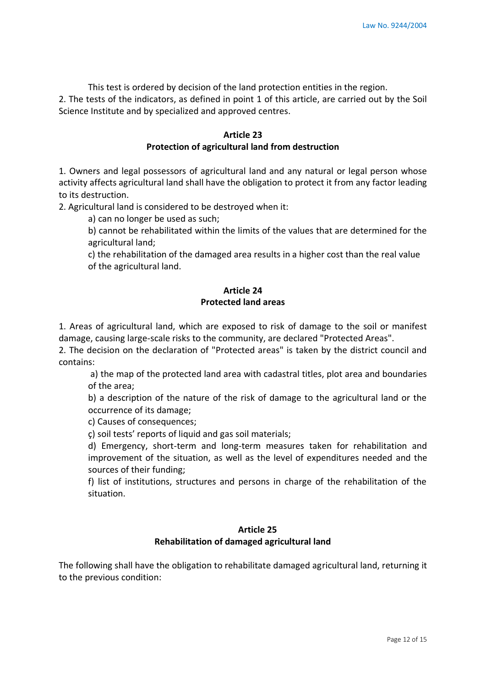This test is ordered by decision of the land protection entities in the region. 2. The tests of the indicators, as defined in point 1 of this article, are carried out by the Soil Science Institute and by specialized and approved centres.

#### **Article 23 Protection of agricultural land from destruction**

1. Owners and legal possessors of agricultural land and any natural or legal person whose activity affects agricultural land shall have the obligation to protect it from any factor leading to its destruction.

2. Agricultural land is considered to be destroyed when it:

a) can no longer be used as such;

b) cannot be rehabilitated within the limits of the values that are determined for the agricultural land;

c) the rehabilitation of the damaged area results in a higher cost than the real value of the agricultural land.

# **Article 24 Protected land areas**

1. Areas of agricultural land, which are exposed to risk of damage to the soil or manifest damage, causing large-scale risks to the community, are declared "Protected Areas".

2. The decision on the declaration of "Protected areas" is taken by the district council and contains:

a) the map of the protected land area with cadastral titles, plot area and boundaries of the area;

b) a description of the nature of the risk of damage to the agricultural land or the occurrence of its damage;

c) Causes of consequences;

ç) soil tests' reports of liquid and gas soil materials;

d) Emergency, short-term and long-term measures taken for rehabilitation and improvement of the situation, as well as the level of expenditures needed and the sources of their funding;

f) list of institutions, structures and persons in charge of the rehabilitation of the situation.

# **Article 25 Rehabilitation of damaged agricultural land**

The following shall have the obligation to rehabilitate damaged agricultural land, returning it to the previous condition: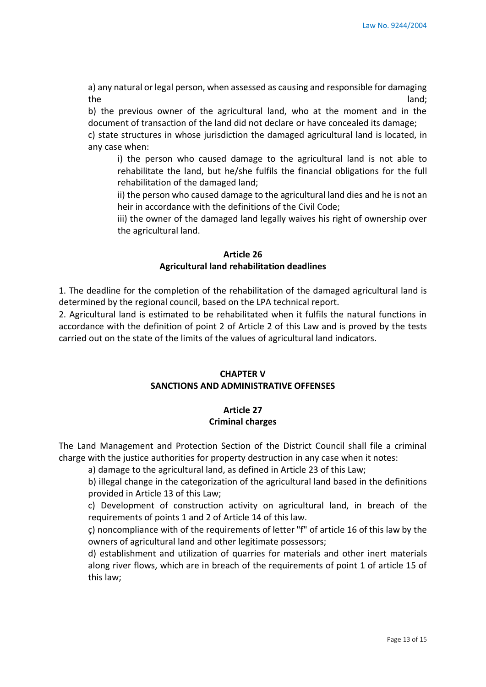a) any natural or legal person, when assessed as causing and responsible for damaging the land; and land; and land; and land; and land; and land; and land; and land; and land; and land; and land;

b) the previous owner of the agricultural land, who at the moment and in the document of transaction of the land did not declare or have concealed its damage;

c) state structures in whose jurisdiction the damaged agricultural land is located, in any case when:

i) the person who caused damage to the agricultural land is not able to rehabilitate the land, but he/she fulfils the financial obligations for the full rehabilitation of the damaged land;

ii) the person who caused damage to the agricultural land dies and he is not an heir in accordance with the definitions of the Civil Code;

iii) the owner of the damaged land legally waives his right of ownership over the agricultural land.

# **Article 26 Agricultural land rehabilitation deadlines**

1. The deadline for the completion of the rehabilitation of the damaged agricultural land is determined by the regional council, based on the LPA technical report.

2. Agricultural land is estimated to be rehabilitated when it fulfils the natural functions in accordance with the definition of point 2 of Article 2 of this Law and is proved by the tests carried out on the state of the limits of the values of agricultural land indicators.

### **CHAPTER V SANCTIONS AND ADMINISTRATIVE OFFENSES**

# **Article 27**

# **Criminal charges**

The Land Management and Protection Section of the District Council shall file a criminal charge with the justice authorities for property destruction in any case when it notes:

a) damage to the agricultural land, as defined in Article 23 of this Law;

b) illegal change in the categorization of the agricultural land based in the definitions provided in Article 13 of this Law;

c) Development of construction activity on agricultural land, in breach of the requirements of points 1 and 2 of Article 14 of this law.

ç) noncompliance with of the requirements of letter "f" of article 16 of this law by the owners of agricultural land and other legitimate possessors;

d) establishment and utilization of quarries for materials and other inert materials along river flows, which are in breach of the requirements of point 1 of article 15 of this law;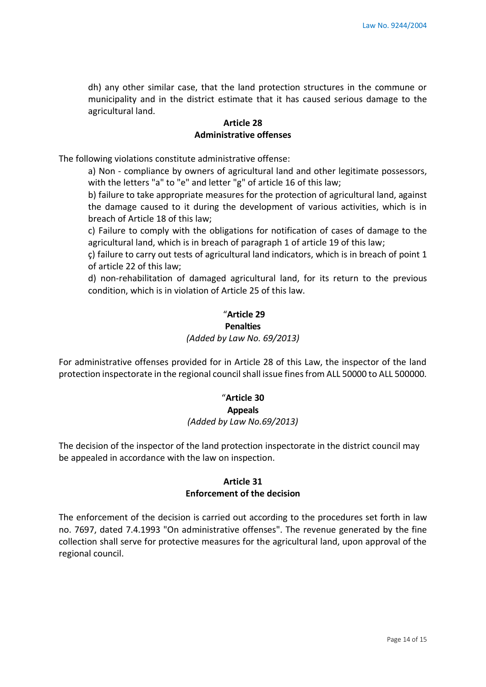dh) any other similar case, that the land protection structures in the commune or municipality and in the district estimate that it has caused serious damage to the agricultural land.

#### **Article 28 Administrative offenses**

The following violations constitute administrative offense:

a) Non - compliance by owners of agricultural land and other legitimate possessors, with the letters "a" to "e" and letter "g" of article 16 of this law;

b) failure to take appropriate measures for the protection of agricultural land, against the damage caused to it during the development of various activities, which is in breach of Article 18 of this law;

c) Failure to comply with the obligations for notification of cases of damage to the agricultural land, which is in breach of paragraph 1 of article 19 of this law;

ç) failure to carry out tests of agricultural land indicators, which is in breach of point 1 of article 22 of this law;

d) non-rehabilitation of damaged agricultural land, for its return to the previous condition, which is in violation of Article 25 of this law.

# "**Article 29 Penalties**

#### *(Added by Law No. 69/2013)*

For administrative offenses provided for in Article 28 of this Law, the inspector of the land protection inspectorate in the regional council shall issue fines from ALL 50000 to ALL 500000.

# "**Article 30 Appeals** *(Added by Law No.69/2013)*

The decision of the inspector of the land protection inspectorate in the district council may be appealed in accordance with the law on inspection.

### **Article 31 Enforcement of the decision**

The enforcement of the decision is carried out according to the procedures set forth in law no. 7697, dated 7.4.1993 "On administrative offenses". The revenue generated by the fine collection shall serve for protective measures for the agricultural land, upon approval of the regional council.